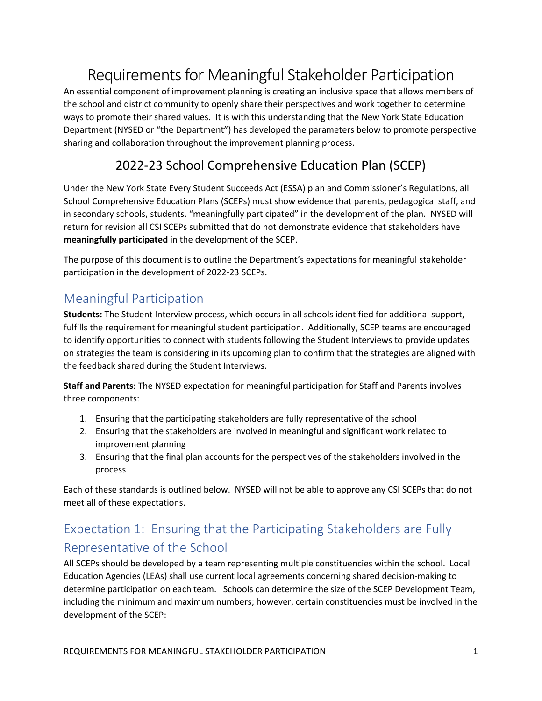# Requirements for Meaningful Stakeholder Participation

An essential component of improvement planning is creating an inclusive space that allows members of the school and district community to openly share their perspectives and work together to determine ways to promote their shared values. It is with this understanding that the New York State Education Department (NYSED or "the Department") has developed the parameters below to promote perspective sharing and collaboration throughout the improvement planning process.

### 2022-23 School Comprehensive Education Plan (SCEP)

Under the New York State Every Student Succeeds Act (ESSA) plan and Commissioner's Regulations, all School Comprehensive Education Plans (SCEPs) must show evidence that parents, pedagogical staff, and in secondary schools, students, "meaningfully participated" in the development of the plan. NYSED will return for revision all CSI SCEPs submitted that do not demonstrate evidence that stakeholders have **meaningfully participated** in the development of the SCEP.

The purpose of this document is to outline the Department's expectations for meaningful stakeholder participation in the development of 2022-23 SCEPs.

### Meaningful Participation

**Students:** The Student Interview process, which occurs in all schools identified for additional support, fulfills the requirement for meaningful student participation. Additionally, SCEP teams are encouraged to identify opportunities to connect with students following the Student Interviews to provide updates on strategies the team is considering in its upcoming plan to confirm that the strategies are aligned with the feedback shared during the Student Interviews.

**Staff and Parents**: The NYSED expectation for meaningful participation for Staff and Parents involves three components:

- 1. Ensuring that the participating stakeholders are fully representative of the school
- 2. Ensuring that the stakeholders are involved in meaningful and significant work related to improvement planning
- 3. Ensuring that the final plan accounts for the perspectives of the stakeholders involved in the process

Each of these standards is outlined below. NYSED will not be able to approve any CSI SCEPs that do not meet all of these expectations.

# Expectation 1: Ensuring that the Participating Stakeholders are Fully Representative of the School

All SCEPs should be developed by a team representing multiple constituencies within the school. Local Education Agencies (LEAs) shall use current local agreements concerning shared decision-making to determine participation on each team. Schools can determine the size of the SCEP Development Team, including the minimum and maximum numbers; however, certain constituencies must be involved in the development of the SCEP: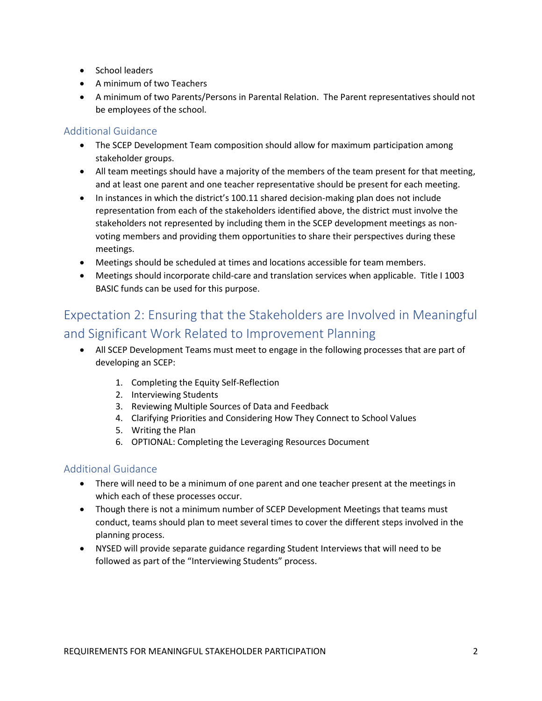- School leaders
- A minimum of two Teachers
- A minimum of two Parents/Persons in Parental Relation. The Parent representatives should not be employees of the school.

#### Additional Guidance

- The SCEP Development Team composition should allow for maximum participation among stakeholder groups.
- All team meetings should have a majority of the members of the team present for that meeting, and at least one parent and one teacher representative should be present for each meeting.
- In instances in which the district's 100.11 shared decision-making plan does not include representation from each of the stakeholders identified above, the district must involve the stakeholders not represented by including them in the SCEP development meetings as nonvoting members and providing them opportunities to share their perspectives during these meetings.
- Meetings should be scheduled at times and locations accessible for team members.
- Meetings should incorporate child-care and translation services when applicable. Title I 1003 BASIC funds can be used for this purpose.

### Expectation 2: Ensuring that the Stakeholders are Involved in Meaningful and Significant Work Related to Improvement Planning

- All SCEP Development Teams must meet to engage in the following processes that are part of developing an SCEP:
	- 1. Completing the Equity Self-Reflection
	- 2. Interviewing Students
	- 3. Reviewing Multiple Sources of Data and Feedback
	- 4. Clarifying Priorities and Considering How They Connect to School Values
	- 5. Writing the Plan
	- 6. OPTIONAL: Completing the Leveraging Resources Document

#### Additional Guidance

- There will need to be a minimum of one parent and one teacher present at the meetings in which each of these processes occur.
- Though there is not a minimum number of SCEP Development Meetings that teams must conduct, teams should plan to meet several times to cover the different steps involved in the planning process.
- NYSED will provide separate guidance regarding Student Interviews that will need to be followed as part of the "Interviewing Students" process.